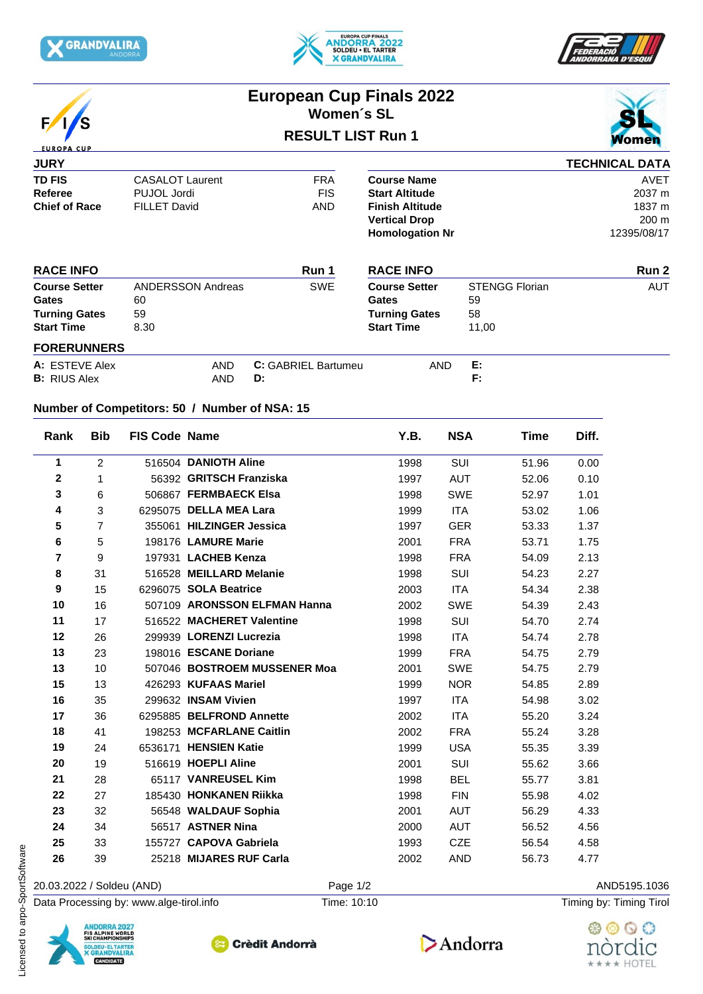







## **European Cup Finals 2022 Women´s SL**

## **RESULT LIST Run 1**



## **JURY TD FIS** CASALOT Laurent CONTERTY FRA Course Name<br>
Referee PUJOL Jordi PUS FIS Start Altitude **Referee BUJOL Jordi** PUJOL FIS Start Altitude<br>
Chief of Race FILLET David AND Finish Altitude **Chief of Race** FILLET David AND **Finish Altitude** 1837 m **TECHNICAL DATA Course Name** AVET **Start Altitude** 2037 m **Vertical Drop** 200 m **Homologation Nr** 12395/08/17

| <b>RACE INFO</b>                                                           |                                              | Run 1                      | <b>RACE INFO</b>                                                                  |                                            | Run 2      |  |
|----------------------------------------------------------------------------|----------------------------------------------|----------------------------|-----------------------------------------------------------------------------------|--------------------------------------------|------------|--|
| <b>Course Setter</b><br>Gates<br><b>Turning Gates</b><br><b>Start Time</b> | <b>ANDERSSON Andreas</b><br>60<br>59<br>8.30 | <b>SWE</b>                 | <b>Course Setter</b><br><b>Gates</b><br><b>Turning Gates</b><br><b>Start Time</b> | <b>STENGG Florian</b><br>59<br>58<br>11,00 | <b>AUT</b> |  |
| <b>FORERUNNERS</b>                                                         |                                              |                            |                                                                                   |                                            |            |  |
| A: ESTEVE Alex                                                             | <b>AND</b>                                   | <b>C:</b> GABRIEL Bartumeu | AND                                                                               | E:                                         |            |  |
| <b>B:</b> RIUS Alex                                                        | <b>AND</b>                                   | D:                         |                                                                                   | F:                                         |            |  |

## **Number of Competitors: 50 / Number of NSA: 15**

| Rank                    | <b>Bib</b>     | <b>FIS Code Name</b> |                              | Y.B. | <b>NSA</b> | Time  | Diff. |
|-------------------------|----------------|----------------------|------------------------------|------|------------|-------|-------|
| 1                       | 2              |                      | 516504 DANIOTH Aline         | 1998 | <b>SUI</b> | 51.96 | 0.00  |
| $\mathbf 2$             | 1              |                      | 56392 GRITSCH Franziska      | 1997 | <b>AUT</b> | 52.06 | 0.10  |
| 3                       | 6              |                      | 506867 FERMBAECK Elsa        | 1998 | <b>SWE</b> | 52.97 | 1.01  |
| 4                       | 3              |                      | 6295075 DELLA MEA Lara       | 1999 | <b>ITA</b> | 53.02 | 1.06  |
| 5                       | $\overline{7}$ |                      | 355061 HILZINGER Jessica     | 1997 | <b>GER</b> | 53.33 | 1.37  |
| 6                       | 5              |                      | 198176 LAMURE Marie          | 2001 | <b>FRA</b> | 53.71 | 1.75  |
| $\overline{\mathbf{r}}$ | 9              |                      | 197931 LACHEB Kenza          | 1998 | <b>FRA</b> | 54.09 | 2.13  |
| 8                       | 31             |                      | 516528 MEILLARD Melanie      | 1998 | SUI        | 54.23 | 2.27  |
| 9                       | 15             |                      | 6296075 SOLA Beatrice        | 2003 | <b>ITA</b> | 54.34 | 2.38  |
| 10                      | 16             |                      | 507109 ARONSSON ELFMAN Hanna | 2002 | <b>SWE</b> | 54.39 | 2.43  |
| 11                      | 17             |                      | 516522 MACHERET Valentine    | 1998 | SUI        | 54.70 | 2.74  |
| 12                      | 26             |                      | 299939 LORENZI Lucrezia      | 1998 | <b>ITA</b> | 54.74 | 2.78  |
| 13                      | 23             |                      | 198016 ESCANE Doriane        | 1999 | <b>FRA</b> | 54.75 | 2.79  |
| 13                      | 10             |                      | 507046 BOSTROEM MUSSENER Moa | 2001 | <b>SWE</b> | 54.75 | 2.79  |
| 15                      | 13             |                      | 426293 KUFAAS Mariel         | 1999 | <b>NOR</b> | 54.85 | 2.89  |
| 16                      | 35             |                      | 299632 INSAM Vivien          | 1997 | <b>ITA</b> | 54.98 | 3.02  |
| 17                      | 36             |                      | 6295885 BELFROND Annette     | 2002 | <b>ITA</b> | 55.20 | 3.24  |
| 18                      | 41             |                      | 198253 MCFARLANE Caitlin     | 2002 | <b>FRA</b> | 55.24 | 3.28  |
| 19                      | 24             |                      | 6536171 HENSIEN Katie        | 1999 | <b>USA</b> | 55.35 | 3.39  |
| 20                      | 19             |                      | 516619 HOEPLI Aline          | 2001 | SUI        | 55.62 | 3.66  |
| 21                      | 28             |                      | 65117 VANREUSEL Kim          | 1998 | <b>BEL</b> | 55.77 | 3.81  |
| 22                      | 27             |                      | 185430 HONKANEN Riikka       | 1998 | <b>FIN</b> | 55.98 | 4.02  |
| 23                      | 32             |                      | 56548 WALDAUF Sophia         | 2001 | AUT        | 56.29 | 4.33  |
| 24                      | 34             |                      | 56517 ASTNER Nina            | 2000 | AUT        | 56.52 | 4.56  |
| 25                      | 33             |                      | 155727 CAPOVA Gabriela       | 1993 | <b>CZE</b> | 56.54 | 4.58  |
| 26                      | 39             |                      | 25218 MIJARES RUF Carla      | 2002 | <b>AND</b> | 56.73 | 4.77  |







Data Processing by: www.alge-tirol.info Time: 10:10 Time: 10:10 Timing by: Timing by: Timing Tirol